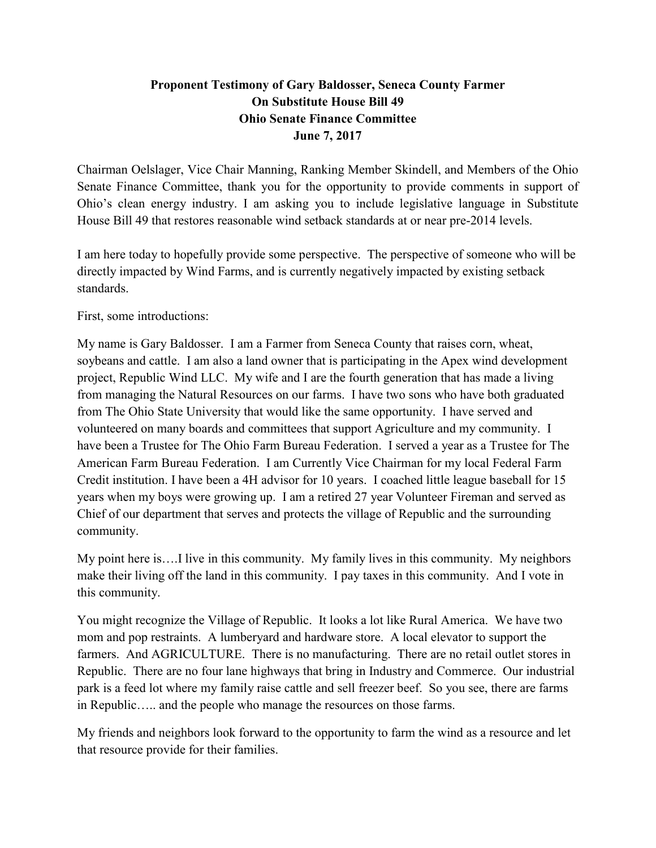## **Proponent Testimony of Gary Baldosser, Seneca County Farmer On Substitute House Bill 49 Ohio Senate Finance Committee June 7, 2017**

Chairman Oelslager, Vice Chair Manning, Ranking Member Skindell, and Members of the Ohio Senate Finance Committee, thank you for the opportunity to provide comments in support of Ohio's clean energy industry. I am asking you to include legislative language in Substitute House Bill 49 that restores reasonable wind setback standards at or near pre-2014 levels.

I am here today to hopefully provide some perspective. The perspective of someone who will be directly impacted by Wind Farms, and is currently negatively impacted by existing setback standards.

First, some introductions:

My name is Gary Baldosser. I am a Farmer from Seneca County that raises corn, wheat, soybeans and cattle. I am also a land owner that is participating in the Apex wind development project, Republic Wind LLC. My wife and I are the fourth generation that has made a living from managing the Natural Resources on our farms. I have two sons who have both graduated from The Ohio State University that would like the same opportunity. I have served and volunteered on many boards and committees that support Agriculture and my community. I have been a Trustee for The Ohio Farm Bureau Federation. I served a year as a Trustee for The American Farm Bureau Federation. I am Currently Vice Chairman for my local Federal Farm Credit institution. I have been a 4H advisor for 10 years. I coached little league baseball for 15 years when my boys were growing up. I am a retired 27 year Volunteer Fireman and served as Chief of our department that serves and protects the village of Republic and the surrounding community.

My point here is….I live in this community. My family lives in this community. My neighbors make their living off the land in this community. I pay taxes in this community. And I vote in this community.

You might recognize the Village of Republic. It looks a lot like Rural America. We have two mom and pop restraints. A lumberyard and hardware store. A local elevator to support the farmers. And AGRICULTURE. There is no manufacturing. There are no retail outlet stores in Republic. There are no four lane highways that bring in Industry and Commerce. Our industrial park is a feed lot where my family raise cattle and sell freezer beef. So you see, there are farms in Republic….. and the people who manage the resources on those farms.

My friends and neighbors look forward to the opportunity to farm the wind as a resource and let that resource provide for their families.